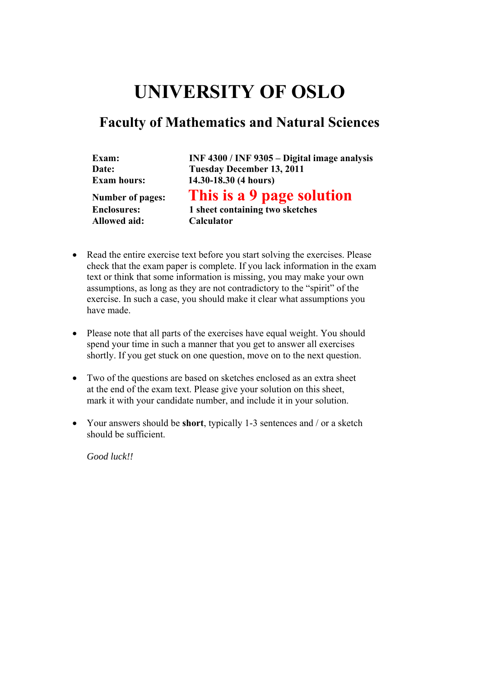# **UNIVERSITY OF OSLO**

# **Faculty of Mathematics and Natural Sciences**

| Exam:                   | INF 4300 / INF 9305 - Digital image analysis |
|-------------------------|----------------------------------------------|
| Date:                   | <b>Tuesday December 13, 2011</b>             |
| <b>Exam hours:</b>      | 14.30-18.30 (4 hours)                        |
| <b>Number of pages:</b> | This is a 9 page solution                    |
| <b>Enclosures:</b>      | 1 sheet containing two sketches              |
| <b>Allowed aid:</b>     | <b>Calculator</b>                            |

- Read the entire exercise text before you start solving the exercises. Please check that the exam paper is complete. If you lack information in the exam text or think that some information is missing, you may make your own assumptions, as long as they are not contradictory to the "spirit" of the exercise. In such a case, you should make it clear what assumptions you have made.
- Please note that all parts of the exercises have equal weight. You should spend your time in such a manner that you get to answer all exercises shortly. If you get stuck on one question, move on to the next question.
- Two of the questions are based on sketches enclosed as an extra sheet at the end of the exam text. Please give your solution on this sheet, mark it with your candidate number, and include it in your solution.
- Your answers should be **short**, typically 1-3 sentences and / or a sketch should be sufficient.

*Good luck!!*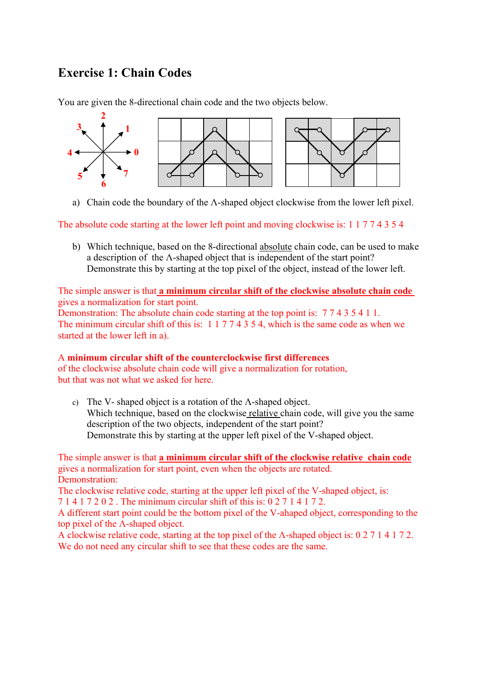# **Exercise 1: Chain Codes**

You are given the 8-directional chain code and the two objects below.



a) Chain code the boundary of the Λ-shaped object clockwise from the lower left pixel.

The absolute code starting at the lower left point and moving clockwise is: 1 1 7 7 4 3 5 4

b) Which technique, based on the 8-directional absolute chain code, can be used to make a description of the Λ-shaped object that is independent of the start point? Demonstrate this by starting at the top pixel of the object, instead of the lower left.

The simple answer is that **a minimum circular shift of the clockwise absolute chain code**  gives a normalization for start point.

Demonstration: The absolute chain code starting at the top point is: 7 7 4 3 5 4 1 1. The minimum circular shift of this is: 1 1 7 7 4 3 5 4, which is the same code as when we started at the lower left in a).

#### A **minimum circular shift of the counterclockwise first differences**

of the clockwise absolute chain code will give a normalization for rotation, but that was not what we asked for here.

c) The V- shaped object is a rotation of the Λ-shaped object. Which technique, based on the clockwise relative chain code, will give you the same description of the two objects, independent of the start point? Demonstrate this by starting at the upper left pixel of the V-shaped object.

The simple answer is that **a minimum circular shift of the clockwise relative chain code** gives a normalization for start point, even when the objects are rotated. Demonstration:

The clockwise relative code, starting at the upper left pixel of the V-shaped object, is:

7 1 4 1 7 2 0 2 . The minimum circular shift of this is: 0 2 7 1 4 1 7 2.

A different start point could be the bottom pixel of the V-ahaped object, corresponding to the top pixel of the Λ-shaped object.

A clockwise relative code, starting at the top pixel of the Λ-shaped object is: 0 2 7 1 4 1 7 2. We do not need any circular shift to see that these codes are the same.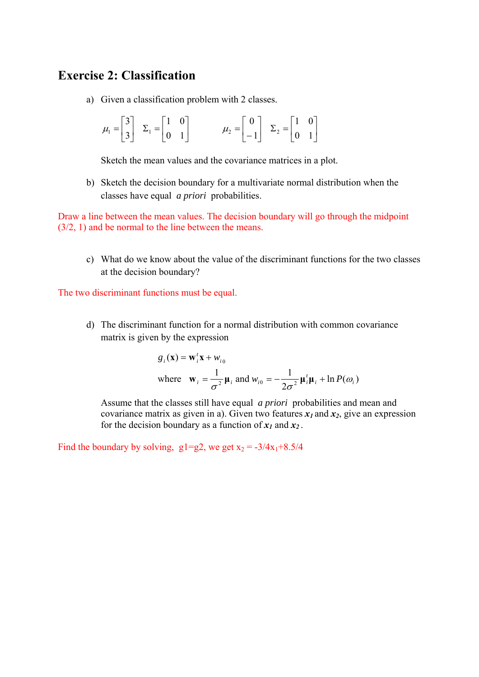### **Exercise 2: Classification**

a) Given a classification problem with 2 classes.

$$
\mu_1 = \begin{bmatrix} 3 \\ 3 \end{bmatrix} \quad \Sigma_1 = \begin{bmatrix} 1 & 0 \\ 0 & 1 \end{bmatrix} \qquad \qquad \mu_2 = \begin{bmatrix} 0 \\ -1 \end{bmatrix} \quad \Sigma_2 = \begin{bmatrix} 1 & 0 \\ 0 & 1 \end{bmatrix}
$$

Sketch the mean values and the covariance matrices in a plot.

b) Sketch the decision boundary for a multivariate normal distribution when the classes have equal *a priori* probabilities.

Draw a line between the mean values. The decision boundary will go through the midpoint (3/2, 1) and be normal to the line between the means.

c) What do we know about the value of the discriminant functions for the two classes at the decision boundary?

The two discriminant functions must be equal.

d) The discriminant function for a normal distribution with common covariance matrix is given by the expression

$$
g_i(\mathbf{x}) = \mathbf{w}_i^t \mathbf{x} + w_{i0}
$$
  
where  $\mathbf{w}_i = \frac{1}{\sigma^2} \mathbf{\mu}_i$  and  $w_{i0} = -\frac{1}{2\sigma^2} \mathbf{\mu}_i^t \mathbf{\mu}_i + \ln P(\omega_i)$ 

Assume that the classes still have equal *a priori* probabilities and mean and covariance matrix as given in a). Given two features  $x_1$  and  $x_2$ , give an expression for the decision boundary as a function of  $x_1$  and  $x_2$ .

Find the boundary by solving,  $g1=g2$ , we get  $x_2 = -3/4x_1+8.5/4$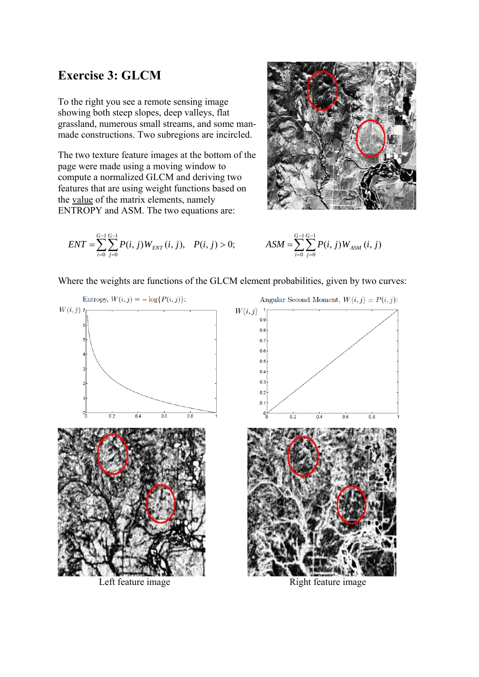## **Exercise 3: GLCM**

To the right you see a remote sensing image showing both steep slopes, deep valleys, flat grassland, numerous small streams, and some manmade constructions. Two subregions are incircled.

The two texture feature images at the bottom of the page were made using a moving window to compute a normalized GLCM and deriving two features that are using weight functions based on the value of the matrix elements, namely ENTROPY and ASM. The two equations are:



$$
ENT = \sum_{i=0}^{G-1} \sum_{j=0}^{G-1} P(i, j) W_{ENT}(i, j), \quad P(i, j) > 0; \qquad \qquad ASM = \sum_{i=0}^{G-1} \sum_{j=0}^{G-1} P(i, j) W_{ASM}(i, j)
$$

Where the weights are functions of the GLCM element probabilities, given by two curves:



Left feature image Right feature image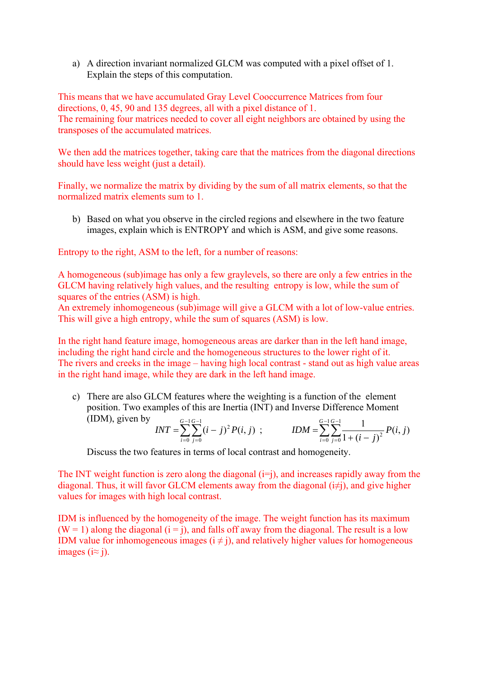a) A direction invariant normalized GLCM was computed with a pixel offset of 1. Explain the steps of this computation.

This means that we have accumulated Gray Level Cooccurrence Matrices from four directions, 0, 45, 90 and 135 degrees, all with a pixel distance of 1. The remaining four matrices needed to cover all eight neighbors are obtained by using the transposes of the accumulated matrices.

We then add the matrices together, taking care that the matrices from the diagonal directions should have less weight (just a detail).

Finally, we normalize the matrix by dividing by the sum of all matrix elements, so that the normalized matrix elements sum to 1.

b) Based on what you observe in the circled regions and elsewhere in the two feature images, explain which is ENTROPY and which is ASM, and give some reasons.

Entropy to the right, ASM to the left, for a number of reasons:

A homogeneous (sub)image has only a few graylevels, so there are only a few entries in the GLCM having relatively high values, and the resulting entropy is low, while the sum of squares of the entries (ASM) is high.

An extremely inhomogeneous (sub)image will give a GLCM with a lot of low-value entries. This will give a high entropy, while the sum of squares (ASM) is low.

In the right hand feature image, homogeneous areas are darker than in the left hand image, including the right hand circle and the homogeneous structures to the lower right of it. The rivers and creeks in the image – having high local contrast - stand out as high value areas in the right hand image, while they are dark in the left hand image.

c) There are also GLCM features where the weighting is a function of the element position. Two examples of this are Inertia (INT) and Inverse Difference Moment (IDM), given by  $\overline{a}$  $\overline{a}$  $\overline{a}$ -

$$
INT = \sum_{i=0}^{G-1} \sum_{j=0}^{G-1} (i-j)^2 P(i,j) ; \qquad IDM = \sum_{i=0}^{G-1} \sum_{j=0}^{G-1} \frac{1}{1 + (i-j)^2} P(i,j)
$$

Discuss the two features in terms of local contrast and homogeneity.

The INT weight function is zero along the diagonal  $(i=j)$ , and increases rapidly away from the diagonal. Thus, it will favor GLCM elements away from the diagonal  $(i\neq j)$ , and give higher values for images with high local contrast.

IDM is influenced by the homogeneity of the image. The weight function has its maximum  $(W = 1)$  along the diagonal  $(i = j)$ , and falls off away from the diagonal. The result is a low IDM value for inhomogeneous images  $(i \neq j)$ , and relatively higher values for homogeneous images ( $i \approx j$ ).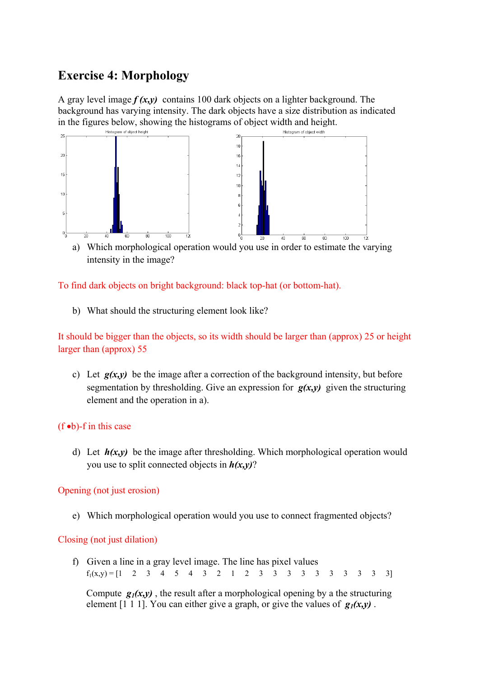# **Exercise 4: Morphology**

A gray level image *f (x,y)* contains 100 dark objects on a lighter background. The background has varying intensity. The dark objects have a size distribution as indicated in the figures below, showing the histograms of object width and height.



a) Which morphological operation would you use in order to estimate the varying intensity in the image?

To find dark objects on bright background: black top-hat (or bottom-hat).

b) What should the structuring element look like?

It should be bigger than the objects, so its width should be larger than (approx) 25 or height larger than (approx) 55

c) Let  $g(x,y)$  be the image after a correction of the background intensity, but before segmentation by thresholding. Give an expression for  $g(x,y)$  given the structuring element and the operation in a).

#### $(f \bullet b)$ -f in this case

d) Let  $h(x,y)$  be the image after thresholding. Which morphological operation would you use to split connected objects in *h(x,y)*?

Opening (not just erosion)

e) Which morphological operation would you use to connect fragmented objects?

#### Closing (not just dilation)

f) Given a line in a gray level image. The line has pixel values  $f_1(x,y) = \begin{bmatrix} 1 & 2 & 3 & 4 & 5 & 4 & 3 & 2 & 1 & 2 & 3 & 3 & 3 & 3 & 3 & 3 & 3 & 3 & 3 \end{bmatrix}$ 

Compute  $g_1(x, y)$ , the result after a morphological opening by a the structuring element [1 1 1]. You can either give a graph, or give the values of  $g_1(x,y)$ .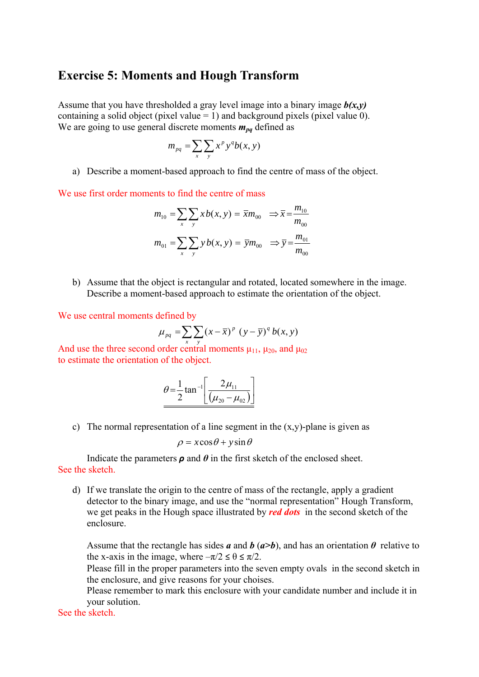### **Exercise 5: Moments and Hough Transform**

Assume that you have thresholded a gray level image into a binary image  $b(x,y)$ containing a solid object (pixel value  $= 1$ ) and background pixels (pixel value 0). We are going to use general discrete moments  $m_{pq}$  defined as

$$
m_{pq} = \sum_{x} \sum_{y} x^p y^q b(x, y)
$$

a) Describe a moment-based approach to find the centre of mass of the object.

We use first order moments to find the centre of mass

$$
m_{10} = \sum_{x} \sum_{y} x b(x, y) = \overline{x} m_{00} \implies \overline{x} = \frac{m_{10}}{m_{00}}
$$

$$
m_{01} = \sum_{x} \sum_{y} y b(x, y) = \overline{y} m_{00} \implies \overline{y} = \frac{m_{01}}{m_{00}}
$$

b) Assume that the object is rectangular and rotated, located somewhere in the image. Describe a moment-based approach to estimate the orientation of the object.

We use central moments defined by

$$
\mu_{pq} = \sum_{x} \sum_{y} (x - \overline{x})^p (y - \overline{y})^q b(x, y)
$$

And use the three second order central moments  $\mu_{11}$ ,  $\mu_{20}$ , and  $\mu_{02}$ to estimate the orientation of the object.

$$
\theta = \frac{1}{2} \tan^{-1} \left[ \frac{2\mu_{11}}{(\mu_{20} - \mu_{02})} \right]
$$

c) The normal representation of a line segment in the  $(x,y)$ -plane is given as

$$
\rho = x\cos\theta + y\sin\theta
$$

Indicate the parameters  $\rho$  and  $\theta$  in the first sketch of the enclosed sheet. See the sketch.

d) If we translate the origin to the centre of mass of the rectangle, apply a gradient detector to the binary image, and use the "normal representation" Hough Transform, we get peaks in the Hough space illustrated by *red dots* in the second sketch of the enclosure.

Assume that the rectangle has sides  $a$  and  $b$  ( $a>b$ ), and has an orientation  $\theta$  relative to the x-axis in the image, where  $-\pi/2 \le \theta \le \pi/2$ .

Please fill in the proper parameters into the seven empty ovals in the second sketch in the enclosure, and give reasons for your choises.

Please remember to mark this enclosure with your candidate number and include it in your solution.

See the sketch.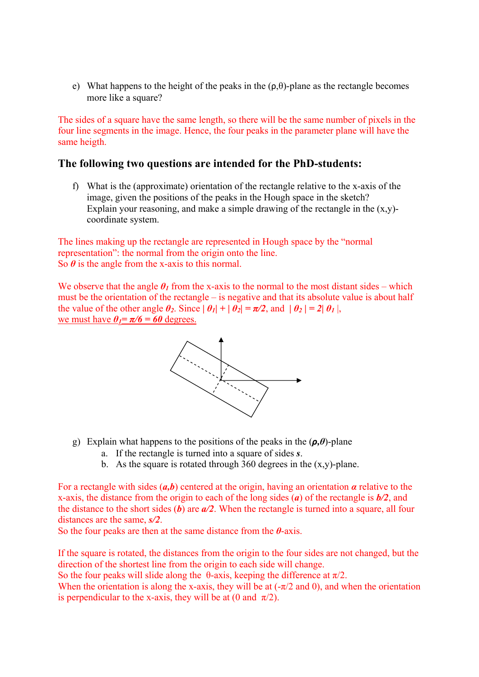e) What happens to the height of the peaks in the  $(\rho, \theta)$ -plane as the rectangle becomes more like a square?

The sides of a square have the same length, so there will be the same number of pixels in the four line segments in the image. Hence, the four peaks in the parameter plane will have the same heigth.

#### **The following two questions are intended for the PhD-students:**

f) What is the (approximate) orientation of the rectangle relative to the x-axis of the image, given the positions of the peaks in the Hough space in the sketch? Explain your reasoning, and make a simple drawing of the rectangle in the  $(x,y)$ coordinate system.

The lines making up the rectangle are represented in Hough space by the "normal representation": the normal from the origin onto the line. So  $\theta$  is the angle from the x-axis to this normal.

We observe that the angle  $\theta$ <sup>*I*</sup> from the x-axis to the normal to the most distant sides – which must be the orientation of the rectangle – is negative and that its absolute value is about half the value of the other angle  $\theta_2$ . Since  $|\theta_1| + |\theta_2| = \pi/2$ , and  $|\theta_2| = 2|\theta_1|$ , we must have  $\theta_1 = \pi/6 = 60$  degrees.



- g) Explain what happens to the positions of the peaks in the  $(\rho, \theta)$ -plane
	- a. If the rectangle is turned into a square of sides *s*.
	- b. As the square is rotated through 360 degrees in the  $(x,y)$ -plane.

For a rectangle with sides (*a,b*) centered at the origin, having an orientation *α* relative to the x-axis, the distance from the origin to each of the long sides (*a*) of the rectangle is *b/2*, and the distance to the short sides (*b*) are *a/2*. When the rectangle is turned into a square, all four distances are the same, *s/2*.

So the four peaks are then at the same distance from the *θ*-axis.

If the square is rotated, the distances from the origin to the four sides are not changed, but the direction of the shortest line from the origin to each side will change.

So the four peaks will slide along the  $\theta$ -axis, keeping the difference at  $\pi/2$ .

When the orientation is along the x-axis, they will be at  $(-\pi/2$  and 0), and when the orientation is perpendicular to the x-axis, they will be at (0 and  $\pi/2$ ).